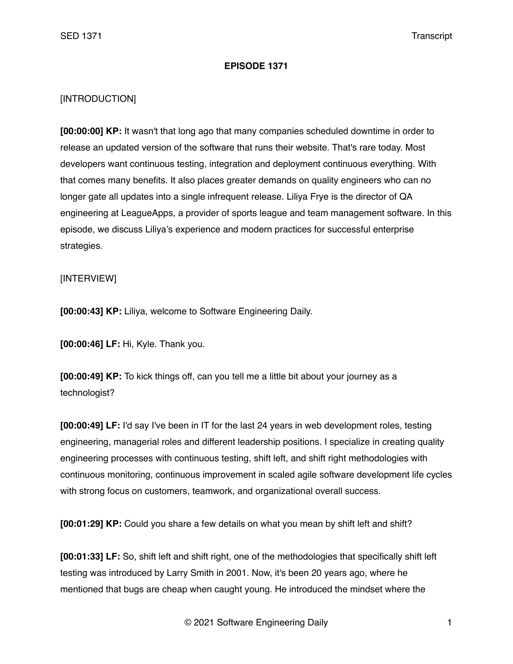## **EPISODE 1371**

## [INTRODUCTION]

**[00:00:00] KP:** It wasn't that long ago that many companies scheduled downtime in order to release an updated version of the software that runs their website. That's rare today. Most developers want continuous testing, integration and deployment continuous everything. With that comes many benefits. It also places greater demands on quality engineers who can no longer gate all updates into a single infrequent release. Liliya Frye is the director of QA engineering at LeagueApps, a provider of sports league and team management software. In this episode, we discuss Liliya's experience and modern practices for successful enterprise strategies.

## [INTERVIEW]

**[00:00:43] KP:** Liliya, welcome to Software Engineering Daily.

**[00:00:46] LF:** Hi, Kyle. Thank you.

**[00:00:49] KP:** To kick things off, can you tell me a little bit about your journey as a technologist?

**[00:00:49] LF:** I'd say I've been in IT for the last 24 years in web development roles, testing engineering, managerial roles and different leadership positions. I specialize in creating quality engineering processes with continuous testing, shift left, and shift right methodologies with continuous monitoring, continuous improvement in scaled agile software development life cycles with strong focus on customers, teamwork, and organizational overall success.

**[00:01:29] KP:** Could you share a few details on what you mean by shift left and shift?

**[00:01:33] LF:** So, shift left and shift right, one of the methodologies that specifically shift left testing was introduced by Larry Smith in 2001. Now, it's been 20 years ago, where he mentioned that bugs are cheap when caught young. He introduced the mindset where the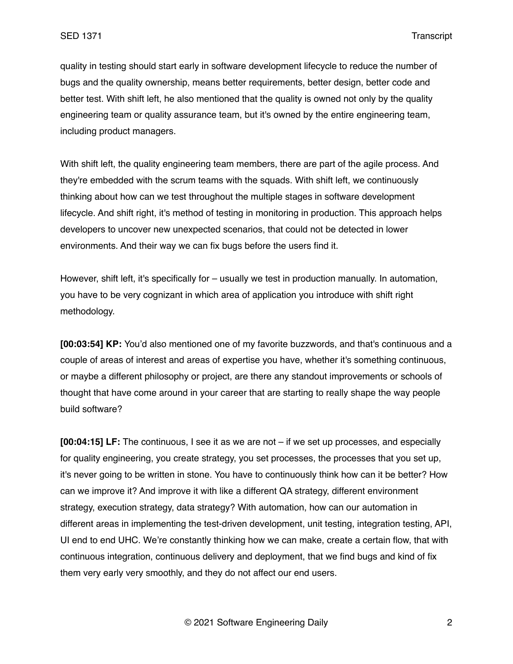quality in testing should start early in software development lifecycle to reduce the number of bugs and the quality ownership, means better requirements, better design, better code and better test. With shift left, he also mentioned that the quality is owned not only by the quality engineering team or quality assurance team, but it's owned by the entire engineering team, including product managers.

With shift left, the quality engineering team members, there are part of the agile process. And they're embedded with the scrum teams with the squads. With shift left, we continuously thinking about how can we test throughout the multiple stages in software development lifecycle. And shift right, it's method of testing in monitoring in production. This approach helps developers to uncover new unexpected scenarios, that could not be detected in lower environments. And their way we can fix bugs before the users find it.

However, shift left, it's specifically for – usually we test in production manually. In automation, you have to be very cognizant in which area of application you introduce with shift right methodology.

**[00:03:54] KP:** You'd also mentioned one of my favorite buzzwords, and that's continuous and a couple of areas of interest and areas of expertise you have, whether it's something continuous, or maybe a different philosophy or project, are there any standout improvements or schools of thought that have come around in your career that are starting to really shape the way people build software?

**[00:04:15] LF:** The continuous, I see it as we are not – if we set up processes, and especially for quality engineering, you create strategy, you set processes, the processes that you set up, it's never going to be written in stone. You have to continuously think how can it be better? How can we improve it? And improve it with like a different QA strategy, different environment strategy, execution strategy, data strategy? With automation, how can our automation in different areas in implementing the test-driven development, unit testing, integration testing, API, UI end to end UHC. We're constantly thinking how we can make, create a certain flow, that with continuous integration, continuous delivery and deployment, that we find bugs and kind of fix them very early very smoothly, and they do not affect our end users.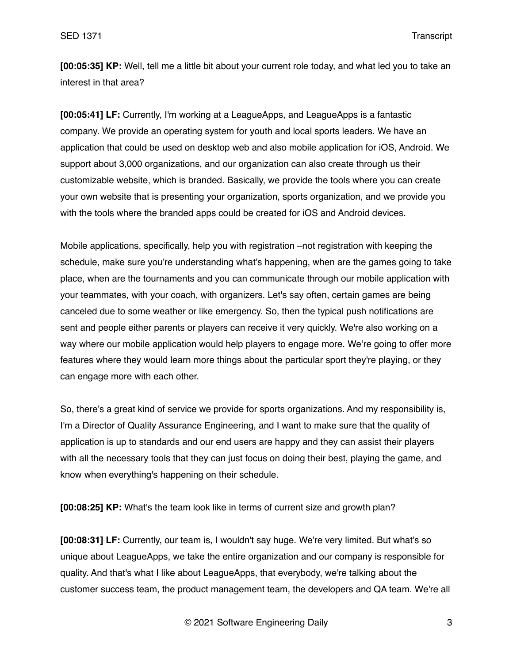**[00:05:35] KP:** Well, tell me a little bit about your current role today, and what led you to take an interest in that area?

**[00:05:41] LF:** Currently, I'm working at a LeagueApps, and LeagueApps is a fantastic company. We provide an operating system for youth and local sports leaders. We have an application that could be used on desktop web and also mobile application for iOS, Android. We support about 3,000 organizations, and our organization can also create through us their customizable website, which is branded. Basically, we provide the tools where you can create your own website that is presenting your organization, sports organization, and we provide you with the tools where the branded apps could be created for iOS and Android devices.

Mobile applications, specifically, help you with registration –not registration with keeping the schedule, make sure you're understanding what's happening, when are the games going to take place, when are the tournaments and you can communicate through our mobile application with your teammates, with your coach, with organizers. Let's say often, certain games are being canceled due to some weather or like emergency. So, then the typical push notifications are sent and people either parents or players can receive it very quickly. We're also working on a way where our mobile application would help players to engage more. We're going to offer more features where they would learn more things about the particular sport they're playing, or they can engage more with each other.

So, there's a great kind of service we provide for sports organizations. And my responsibility is, I'm a Director of Quality Assurance Engineering, and I want to make sure that the quality of application is up to standards and our end users are happy and they can assist their players with all the necessary tools that they can just focus on doing their best, playing the game, and know when everything's happening on their schedule.

**[00:08:25] KP:** What's the team look like in terms of current size and growth plan?

**[00:08:31] LF:** Currently, our team is, I wouldn't say huge. We're very limited. But what's so unique about LeagueApps, we take the entire organization and our company is responsible for quality. And that's what I like about LeagueApps, that everybody, we're talking about the customer success team, the product management team, the developers and QA team. We're all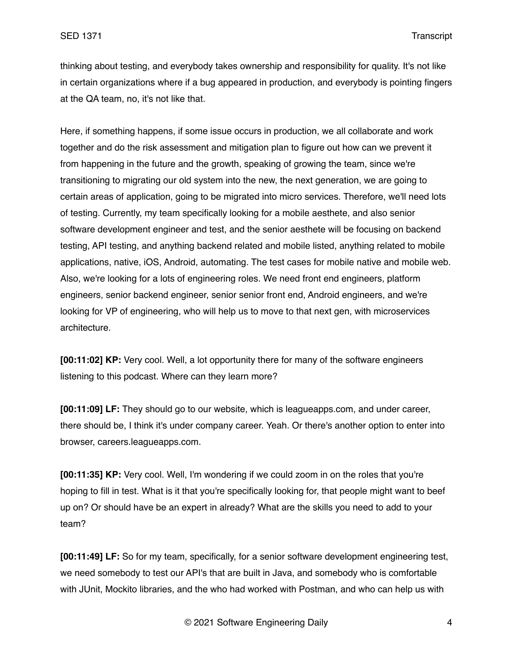thinking about testing, and everybody takes ownership and responsibility for quality. It's not like in certain organizations where if a bug appeared in production, and everybody is pointing fingers at the QA team, no, it's not like that.

Here, if something happens, if some issue occurs in production, we all collaborate and work together and do the risk assessment and mitigation plan to figure out how can we prevent it from happening in the future and the growth, speaking of growing the team, since we're transitioning to migrating our old system into the new, the next generation, we are going to certain areas of application, going to be migrated into micro services. Therefore, we'll need lots of testing. Currently, my team specifically looking for a mobile aesthete, and also senior software development engineer and test, and the senior aesthete will be focusing on backend testing, API testing, and anything backend related and mobile listed, anything related to mobile applications, native, iOS, Android, automating. The test cases for mobile native and mobile web. Also, we're looking for a lots of engineering roles. We need front end engineers, platform engineers, senior backend engineer, senior senior front end, Android engineers, and we're looking for VP of engineering, who will help us to move to that next gen, with microservices architecture.

**[00:11:02] KP:** Very cool. Well, a lot opportunity there for many of the software engineers listening to this podcast. Where can they learn more?

**[00:11:09] LF:** They should go to our website, which is leagueapps.com, and under career, there should be, I think it's under company career. Yeah. Or there's another option to enter into browser, careers.leagueapps.com.

**[00:11:35] KP:** Very cool. Well, I'm wondering if we could zoom in on the roles that you're hoping to fill in test. What is it that you're specifically looking for, that people might want to beef up on? Or should have be an expert in already? What are the skills you need to add to your team?

**[00:11:49] LF:** So for my team, specifically, for a senior software development engineering test, we need somebody to test our API's that are built in Java, and somebody who is comfortable with JUnit, Mockito libraries, and the who had worked with Postman, and who can help us with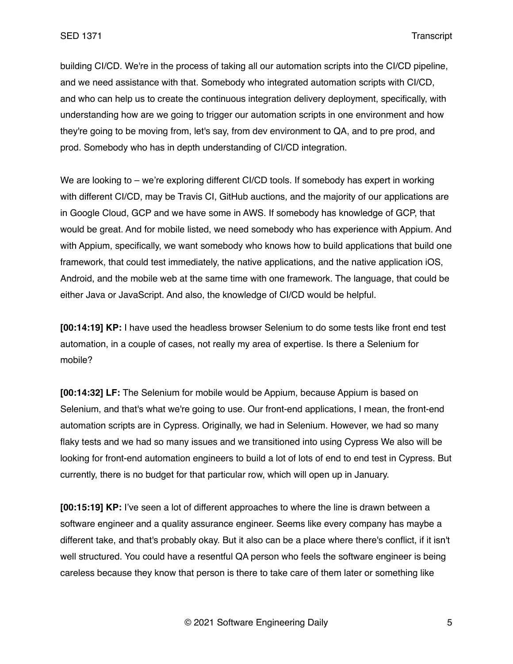building CI/CD. We're in the process of taking all our automation scripts into the CI/CD pipeline, and we need assistance with that. Somebody who integrated automation scripts with CI/CD, and who can help us to create the continuous integration delivery deployment, specifically, with understanding how are we going to trigger our automation scripts in one environment and how they're going to be moving from, let's say, from dev environment to QA, and to pre prod, and prod. Somebody who has in depth understanding of CI/CD integration.

We are looking to – we're exploring different CI/CD tools. If somebody has expert in working with different CI/CD, may be Travis CI, GitHub auctions, and the majority of our applications are in Google Cloud, GCP and we have some in AWS. If somebody has knowledge of GCP, that would be great. And for mobile listed, we need somebody who has experience with Appium. And with Appium, specifically, we want somebody who knows how to build applications that build one framework, that could test immediately, the native applications, and the native application iOS, Android, and the mobile web at the same time with one framework. The language, that could be either Java or JavaScript. And also, the knowledge of CI/CD would be helpful.

**[00:14:19] KP:** I have used the headless browser Selenium to do some tests like front end test automation, in a couple of cases, not really my area of expertise. Is there a Selenium for mobile?

**[00:14:32] LF:** The Selenium for mobile would be Appium, because Appium is based on Selenium, and that's what we're going to use. Our front-end applications, I mean, the front-end automation scripts are in Cypress. Originally, we had in Selenium. However, we had so many flaky tests and we had so many issues and we transitioned into using Cypress We also will be looking for front-end automation engineers to build a lot of lots of end to end test in Cypress. But currently, there is no budget for that particular row, which will open up in January.

**[00:15:19] KP:** I've seen a lot of different approaches to where the line is drawn between a software engineer and a quality assurance engineer. Seems like every company has maybe a different take, and that's probably okay. But it also can be a place where there's conflict, if it isn't well structured. You could have a resentful QA person who feels the software engineer is being careless because they know that person is there to take care of them later or something like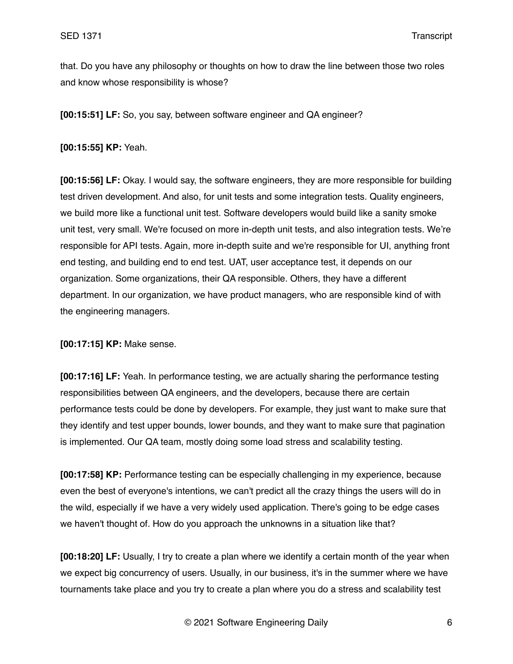that. Do you have any philosophy or thoughts on how to draw the line between those two roles and know whose responsibility is whose?

**[00:15:51] LF:** So, you say, between software engineer and QA engineer?

**[00:15:55] KP:** Yeah.

**[00:15:56] LF:** Okay. I would say, the software engineers, they are more responsible for building test driven development. And also, for unit tests and some integration tests. Quality engineers, we build more like a functional unit test. Software developers would build like a sanity smoke unit test, very small. We're focused on more in-depth unit tests, and also integration tests. We're responsible for API tests. Again, more in-depth suite and we're responsible for UI, anything front end testing, and building end to end test. UAT, user acceptance test, it depends on our organization. Some organizations, their QA responsible. Others, they have a different department. In our organization, we have product managers, who are responsible kind of with the engineering managers.

**[00:17:15] KP:** Make sense.

**[00:17:16] LF:** Yeah. In performance testing, we are actually sharing the performance testing responsibilities between QA engineers, and the developers, because there are certain performance tests could be done by developers. For example, they just want to make sure that they identify and test upper bounds, lower bounds, and they want to make sure that pagination is implemented. Our QA team, mostly doing some load stress and scalability testing.

**[00:17:58] KP:** Performance testing can be especially challenging in my experience, because even the best of everyone's intentions, we can't predict all the crazy things the users will do in the wild, especially if we have a very widely used application. There's going to be edge cases we haven't thought of. How do you approach the unknowns in a situation like that?

**[00:18:20] LF:** Usually, I try to create a plan where we identify a certain month of the year when we expect big concurrency of users. Usually, in our business, it's in the summer where we have tournaments take place and you try to create a plan where you do a stress and scalability test

© 2021 Software Engineering Daily 6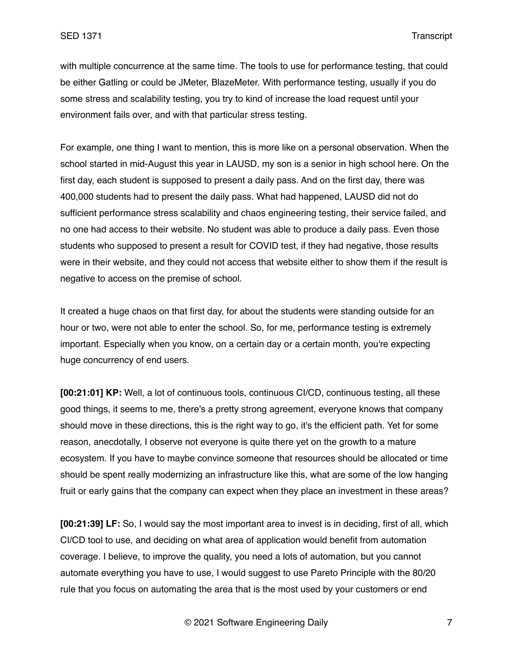with multiple concurrence at the same time. The tools to use for performance testing, that could be either Gatling or could be JMeter, BlazeMeter. With performance testing, usually if you do some stress and scalability testing, you try to kind of increase the load request until your environment fails over, and with that particular stress testing.

For example, one thing I want to mention, this is more like on a personal observation. When the school started in mid-August this year in LAUSD, my son is a senior in high school here. On the first day, each student is supposed to present a daily pass. And on the first day, there was 400,000 students had to present the daily pass. What had happened, LAUSD did not do sufficient performance stress scalability and chaos engineering testing, their service failed, and no one had access to their website. No student was able to produce a daily pass. Even those students who supposed to present a result for COVID test, if they had negative, those results were in their website, and they could not access that website either to show them if the result is negative to access on the premise of school.

It created a huge chaos on that first day, for about the students were standing outside for an hour or two, were not able to enter the school. So, for me, performance testing is extremely important. Especially when you know, on a certain day or a certain month, you're expecting huge concurrency of end users.

**[00:21:01] KP:** Well, a lot of continuous tools, continuous CI/CD, continuous testing, all these good things, it seems to me, there's a pretty strong agreement, everyone knows that company should move in these directions, this is the right way to go, it's the efficient path. Yet for some reason, anecdotally, I observe not everyone is quite there yet on the growth to a mature ecosystem. If you have to maybe convince someone that resources should be allocated or time should be spent really modernizing an infrastructure like this, what are some of the low hanging fruit or early gains that the company can expect when they place an investment in these areas?

**[00:21:39] LF:** So, I would say the most important area to invest is in deciding, first of all, which CI/CD tool to use, and deciding on what area of application would benefit from automation coverage. I believe, to improve the quality, you need a lots of automation, but you cannot automate everything you have to use, I would suggest to use Pareto Principle with the 80/20 rule that you focus on automating the area that is the most used by your customers or end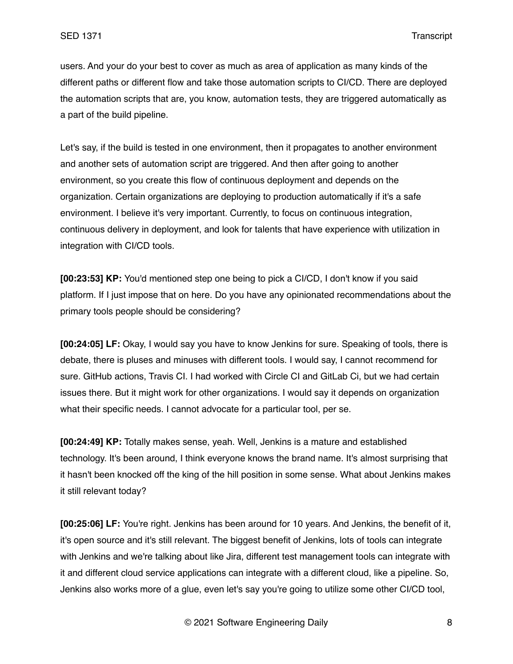users. And your do your best to cover as much as area of application as many kinds of the different paths or different flow and take those automation scripts to CI/CD. There are deployed the automation scripts that are, you know, automation tests, they are triggered automatically as a part of the build pipeline.

Let's say, if the build is tested in one environment, then it propagates to another environment and another sets of automation script are triggered. And then after going to another environment, so you create this flow of continuous deployment and depends on the organization. Certain organizations are deploying to production automatically if it's a safe environment. I believe it's very important. Currently, to focus on continuous integration, continuous delivery in deployment, and look for talents that have experience with utilization in integration with CI/CD tools.

**[00:23:53] KP:** You'd mentioned step one being to pick a CI/CD, I don't know if you said platform. If I just impose that on here. Do you have any opinionated recommendations about the primary tools people should be considering?

**[00:24:05] LF:** Okay, I would say you have to know Jenkins for sure. Speaking of tools, there is debate, there is pluses and minuses with different tools. I would say, I cannot recommend for sure. GitHub actions, Travis CI. I had worked with Circle CI and GitLab Ci, but we had certain issues there. But it might work for other organizations. I would say it depends on organization what their specific needs. I cannot advocate for a particular tool, per se.

**[00:24:49] KP:** Totally makes sense, yeah. Well, Jenkins is a mature and established technology. It's been around, I think everyone knows the brand name. It's almost surprising that it hasn't been knocked off the king of the hill position in some sense. What about Jenkins makes it still relevant today?

**[00:25:06] LF:** You're right. Jenkins has been around for 10 years. And Jenkins, the benefit of it, it's open source and it's still relevant. The biggest benefit of Jenkins, lots of tools can integrate with Jenkins and we're talking about like Jira, different test management tools can integrate with it and different cloud service applications can integrate with a different cloud, like a pipeline. So, Jenkins also works more of a glue, even let's say you're going to utilize some other CI/CD tool,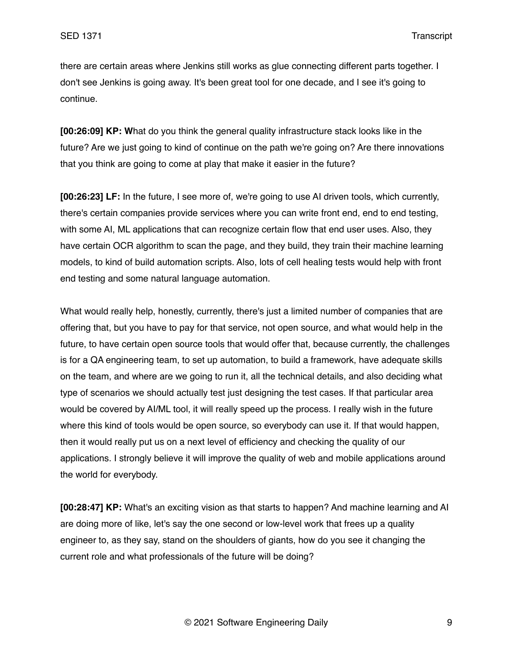there are certain areas where Jenkins still works as glue connecting different parts together. I don't see Jenkins is going away. It's been great tool for one decade, and I see it's going to continue.

**[00:26:09] KP: W**hat do you think the general quality infrastructure stack looks like in the future? Are we just going to kind of continue on the path we're going on? Are there innovations that you think are going to come at play that make it easier in the future?

**[00:26:23] LF:** In the future, I see more of, we're going to use AI driven tools, which currently, there's certain companies provide services where you can write front end, end to end testing, with some AI, ML applications that can recognize certain flow that end user uses. Also, they have certain OCR algorithm to scan the page, and they build, they train their machine learning models, to kind of build automation scripts. Also, lots of cell healing tests would help with front end testing and some natural language automation.

What would really help, honestly, currently, there's just a limited number of companies that are offering that, but you have to pay for that service, not open source, and what would help in the future, to have certain open source tools that would offer that, because currently, the challenges is for a QA engineering team, to set up automation, to build a framework, have adequate skills on the team, and where are we going to run it, all the technical details, and also deciding what type of scenarios we should actually test just designing the test cases. If that particular area would be covered by AI/ML tool, it will really speed up the process. I really wish in the future where this kind of tools would be open source, so everybody can use it. If that would happen, then it would really put us on a next level of efficiency and checking the quality of our applications. I strongly believe it will improve the quality of web and mobile applications around the world for everybody.

**[00:28:47] KP:** What's an exciting vision as that starts to happen? And machine learning and AI are doing more of like, let's say the one second or low-level work that frees up a quality engineer to, as they say, stand on the shoulders of giants, how do you see it changing the current role and what professionals of the future will be doing?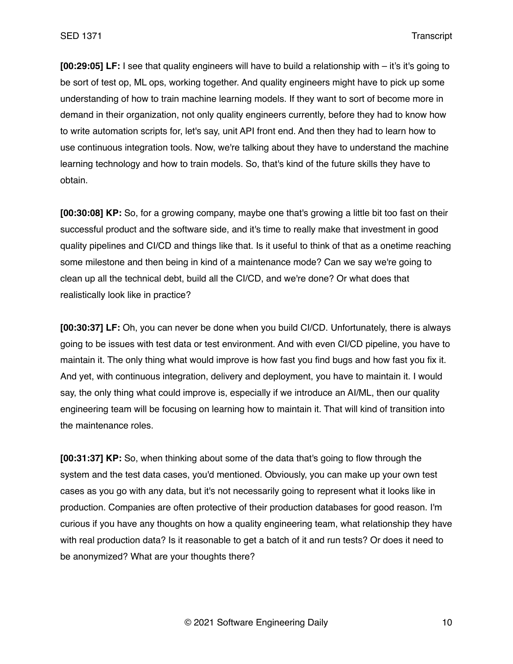**[00:29:05] LF:** I see that quality engineers will have to build a relationship with – it's it's going to be sort of test op, ML ops, working together. And quality engineers might have to pick up some understanding of how to train machine learning models. If they want to sort of become more in demand in their organization, not only quality engineers currently, before they had to know how to write automation scripts for, let's say, unit API front end. And then they had to learn how to use continuous integration tools. Now, we're talking about they have to understand the machine learning technology and how to train models. So, that's kind of the future skills they have to obtain.

**[00:30:08] KP:** So, for a growing company, maybe one that's growing a little bit too fast on their successful product and the software side, and it's time to really make that investment in good quality pipelines and CI/CD and things like that. Is it useful to think of that as a onetime reaching some milestone and then being in kind of a maintenance mode? Can we say we're going to clean up all the technical debt, build all the CI/CD, and we're done? Or what does that realistically look like in practice?

**[00:30:37] LF:** Oh, you can never be done when you build CI/CD. Unfortunately, there is always going to be issues with test data or test environment. And with even CI/CD pipeline, you have to maintain it. The only thing what would improve is how fast you find bugs and how fast you fix it. And yet, with continuous integration, delivery and deployment, you have to maintain it. I would say, the only thing what could improve is, especially if we introduce an AI/ML, then our quality engineering team will be focusing on learning how to maintain it. That will kind of transition into the maintenance roles.

**[00:31:37] KP:** So, when thinking about some of the data that's going to flow through the system and the test data cases, you'd mentioned. Obviously, you can make up your own test cases as you go with any data, but it's not necessarily going to represent what it looks like in production. Companies are often protective of their production databases for good reason. I'm curious if you have any thoughts on how a quality engineering team, what relationship they have with real production data? Is it reasonable to get a batch of it and run tests? Or does it need to be anonymized? What are your thoughts there?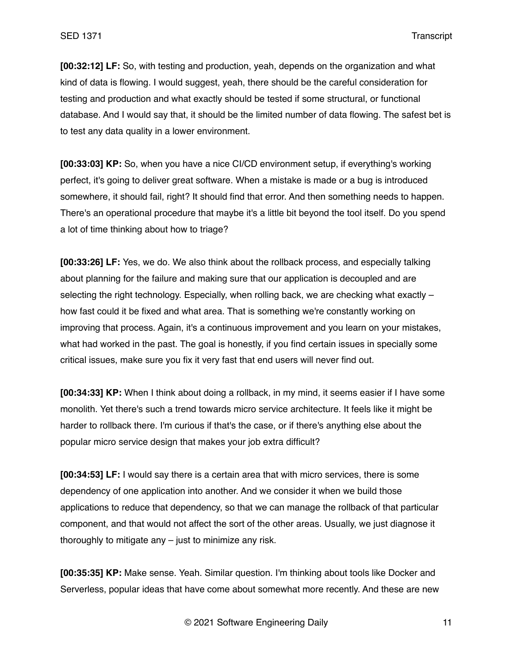**[00:32:12] LF:** So, with testing and production, yeah, depends on the organization and what kind of data is flowing. I would suggest, yeah, there should be the careful consideration for testing and production and what exactly should be tested if some structural, or functional database. And I would say that, it should be the limited number of data flowing. The safest bet is to test any data quality in a lower environment.

**[00:33:03] KP:** So, when you have a nice CI/CD environment setup, if everything's working perfect, it's going to deliver great software. When a mistake is made or a bug is introduced somewhere, it should fail, right? It should find that error. And then something needs to happen. There's an operational procedure that maybe it's a little bit beyond the tool itself. Do you spend a lot of time thinking about how to triage?

**[00:33:26] LF:** Yes, we do. We also think about the rollback process, and especially talking about planning for the failure and making sure that our application is decoupled and are selecting the right technology. Especially, when rolling back, we are checking what exactly how fast could it be fixed and what area. That is something we're constantly working on improving that process. Again, it's a continuous improvement and you learn on your mistakes, what had worked in the past. The goal is honestly, if you find certain issues in specially some critical issues, make sure you fix it very fast that end users will never find out.

**[00:34:33] KP:** When I think about doing a rollback, in my mind, it seems easier if I have some monolith. Yet there's such a trend towards micro service architecture. It feels like it might be harder to rollback there. I'm curious if that's the case, or if there's anything else about the popular micro service design that makes your job extra difficult?

**[00:34:53] LF:** I would say there is a certain area that with micro services, there is some dependency of one application into another. And we consider it when we build those applications to reduce that dependency, so that we can manage the rollback of that particular component, and that would not affect the sort of the other areas. Usually, we just diagnose it thoroughly to mitigate any – just to minimize any risk.

**[00:35:35] KP:** Make sense. Yeah. Similar question. I'm thinking about tools like Docker and Serverless, popular ideas that have come about somewhat more recently. And these are new

© 2021 Software Engineering Daily 11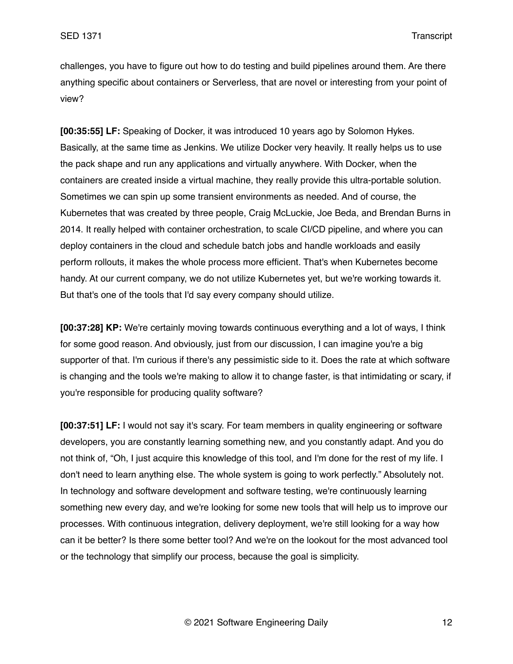challenges, you have to figure out how to do testing and build pipelines around them. Are there anything specific about containers or Serverless, that are novel or interesting from your point of view?

**[00:35:55] LF:** Speaking of Docker, it was introduced 10 years ago by Solomon Hykes. Basically, at the same time as Jenkins. We utilize Docker very heavily. It really helps us to use the pack shape and run any applications and virtually anywhere. With Docker, when the containers are created inside a virtual machine, they really provide this ultra-portable solution. Sometimes we can spin up some transient environments as needed. And of course, the Kubernetes that was created by three people, Craig McLuckie, Joe Beda, and Brendan Burns in 2014. It really helped with container orchestration, to scale CI/CD pipeline, and where you can deploy containers in the cloud and schedule batch jobs and handle workloads and easily perform rollouts, it makes the whole process more efficient. That's when Kubernetes become handy. At our current company, we do not utilize Kubernetes yet, but we're working towards it. But that's one of the tools that I'd say every company should utilize.

**[00:37:28] KP:** We're certainly moving towards continuous everything and a lot of ways, I think for some good reason. And obviously, just from our discussion, I can imagine you're a big supporter of that. I'm curious if there's any pessimistic side to it. Does the rate at which software is changing and the tools we're making to allow it to change faster, is that intimidating or scary, if you're responsible for producing quality software?

**[00:37:51] LF:** I would not say it's scary. For team members in quality engineering or software developers, you are constantly learning something new, and you constantly adapt. And you do not think of, "Oh, I just acquire this knowledge of this tool, and I'm done for the rest of my life. I don't need to learn anything else. The whole system is going to work perfectly." Absolutely not. In technology and software development and software testing, we're continuously learning something new every day, and we're looking for some new tools that will help us to improve our processes. With continuous integration, delivery deployment, we're still looking for a way how can it be better? Is there some better tool? And we're on the lookout for the most advanced tool or the technology that simplify our process, because the goal is simplicity.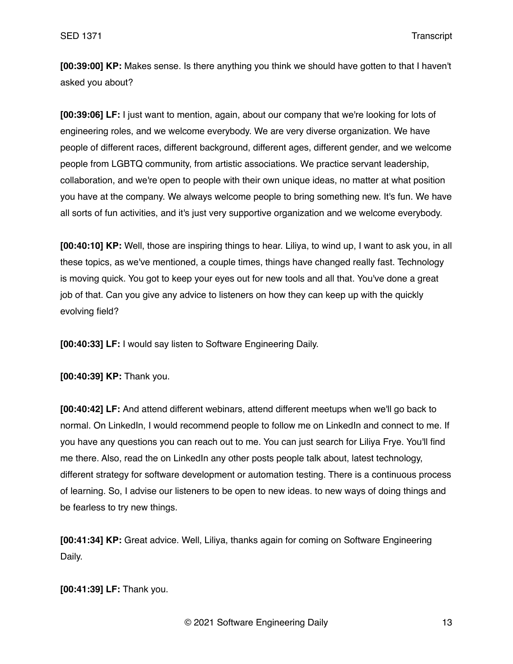**[00:39:00] KP:** Makes sense. Is there anything you think we should have gotten to that I haven't asked you about?

**[00:39:06] LF:** I just want to mention, again, about our company that we're looking for lots of engineering roles, and we welcome everybody. We are very diverse organization. We have people of different races, different background, different ages, different gender, and we welcome people from LGBTQ community, from artistic associations. We practice servant leadership, collaboration, and we're open to people with their own unique ideas, no matter at what position you have at the company. We always welcome people to bring something new. It's fun. We have all sorts of fun activities, and it's just very supportive organization and we welcome everybody.

**[00:40:10] KP:** Well, those are inspiring things to hear. Liliya, to wind up, I want to ask you, in all these topics, as we've mentioned, a couple times, things have changed really fast. Technology is moving quick. You got to keep your eyes out for new tools and all that. You've done a great job of that. Can you give any advice to listeners on how they can keep up with the quickly evolving field?

**[00:40:33] LF:** I would say listen to Software Engineering Daily.

**[00:40:39] KP:** Thank you.

**[00:40:42] LF:** And attend different webinars, attend different meetups when we'll go back to normal. On LinkedIn, I would recommend people to follow me on LinkedIn and connect to me. If you have any questions you can reach out to me. You can just search for Liliya Frye. You'll find me there. Also, read the on LinkedIn any other posts people talk about, latest technology, different strategy for software development or automation testing. There is a continuous process of learning. So, I advise our listeners to be open to new ideas. to new ways of doing things and be fearless to try new things.

**[00:41:34] KP:** Great advice. Well, Liliya, thanks again for coming on Software Engineering Daily.

## **[00:41:39] LF:** Thank you.